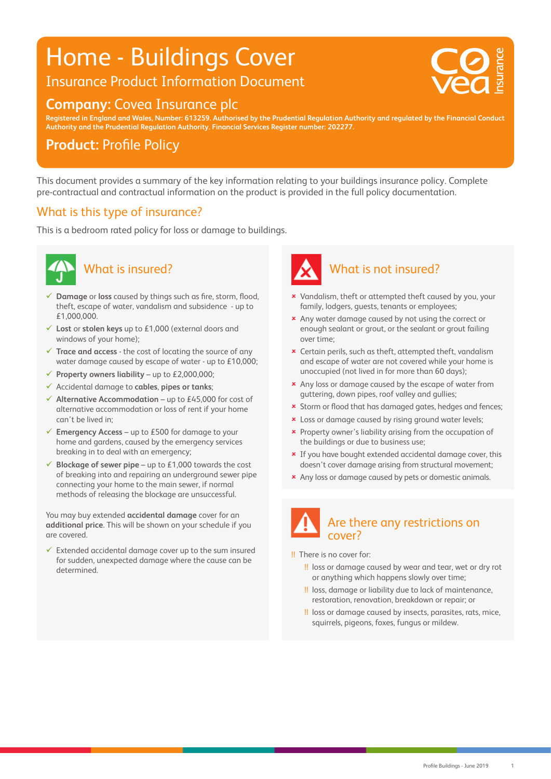## Home - Buildings Cover

Insurance Product Information Document

#### **Company:** Covea Insurance plc

20 0 0 75 V : 20 0 75 V : 20 0 75 V : 20 0 75 V : 20 0 75 V : 20 0 75 V : 20 0 75 V : 20 0 75 V : 20 0 75 V :

**Registered in England and Wales, Number: 613259. Authorised by the Prudential Regulation Authority and regulated by the Financial Conduct Authority and the Prudential Regulation Authority. Financial Services Register number: 202277.**

#### **Product: Profile Policy**

This document provides a summary of the key information relating to your buildings insurance policy. Complete pre-contractual and contractual information on the product is provided in the full policy documentation.

#### What is this type of insurance?

This is a bedroom rated policy for loss or damage to buildings.



### What is insured?

- **Damage** or **loss** caused by things such as fire, storm, flood, theft, escape of water, vandalism and subsidence - up to £1,000,000.
- **Lost** or **stolen keys** up to £1,000 (external doors and windows of your home);
- **Trace and access** the cost of locating the source of any water damage caused by escape of water - up to £10,000;
- **Property owners liability** up to £2,000,000;
- Accidental damage to **cables**, **pipes or tanks**;
- **Alternative Accommodation** up to £45,000 for cost of alternative accommodation or loss of rent if your home can't be lived in;
- **Emergency Access** up to £500 for damage to your home and gardens, caused by the emergency services breaking in to deal with an emergency;
- **Blockage of sewer pipe** up to £1,000 towards the cost of breaking into and repairing an underground sewer pipe connecting your home to the main sewer, if normal methods of releasing the blockage are unsuccessful.

You may buy extended **accidental damage** cover for an **additional price**. This will be shown on your schedule if you are covered.

 $\checkmark$  Extended accidental damage cover up to the sum insured for sudden, unexpected damage where the cause can be determined.



- **x** Vandalism, theft or attempted theft caused by you, your family, lodgers, guests, tenants or employees;
- \* Any water damage caused by not using the correct or enough sealant or grout, or the sealant or grout failing over time;
- Certain perils, such as theft, attempted theft, vandalism and escape of water are not covered while your home is unoccupied (not lived in for more than 60 days);
- **\*** Any loss or damage caused by the escape of water from guttering, down pipes, roof valley and gullies;
- **x** Storm or flood that has damaged gates, hedges and fences;
- **x** Loss or damage caused by rising ground water levels;
- Property owner's liability arising from the occupation of the buildings or due to business use;
- **\*** If you have bought extended accidental damage cover, this doesn't cover damage arising from structural movement;
- **\*** Any loss or damage caused by pets or domestic animals.

#### Are there any restrictions on cover?

!! There is no cover for:

- !! loss or damage caused by wear and tear, wet or dry rot or anything which happens slowly over time;
- !! loss, damage or liability due to lack of maintenance, restoration, renovation, breakdown or repair; or
- !! loss or damage caused by insects, parasites, rats, mice, squirrels, pigeons, foxes, fungus or mildew.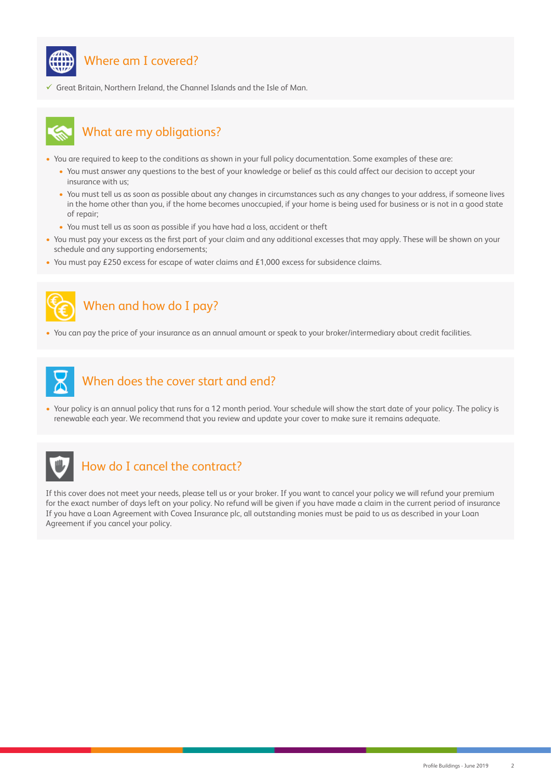

#### Where am I covered?

 $\checkmark$  Great Britain, Northern Ireland, the Channel Islands and the Isle of Man.



#### What are my obligations?

- You are required to keep to the conditions as shown in your full policy documentation. Some examples of these are:
	- You must answer any questions to the best of your knowledge or belief as this could affect our decision to accept your insurance with us;
	- You must tell us as soon as possible about any changes in circumstances such as any changes to your address, if someone lives in the home other than you, if the home becomes unoccupied, if your home is being used for business or is not in a good state of repair;
	- You must tell us as soon as possible if you have had a loss, accident or theft
- You must pay your excess as the first part of your claim and any additional excesses that may apply. These will be shown on your schedule and any supporting endorsements;
- You must pay £250 excess for escape of water claims and £1,000 excess for subsidence claims.



#### When and how do I pay?

• You can pay the price of your insurance as an annual amount or speak to your broker/intermediary about credit facilities.



#### When does the cover start and end?

• Your policy is an annual policy that runs for a 12 month period. Your schedule will show the start date of your policy. The policy is renewable each year. We recommend that you review and update your cover to make sure it remains adequate.



#### How do I cancel the contract?

If this cover does not meet your needs, please tell us or your broker. If you want to cancel your policy we will refund your premium for the exact number of days left on your policy. No refund will be given if you have made a claim in the current period of insurance If you have a Loan Agreement with Covea Insurance plc, all outstanding monies must be paid to us as described in your Loan Agreement if you cancel your policy.